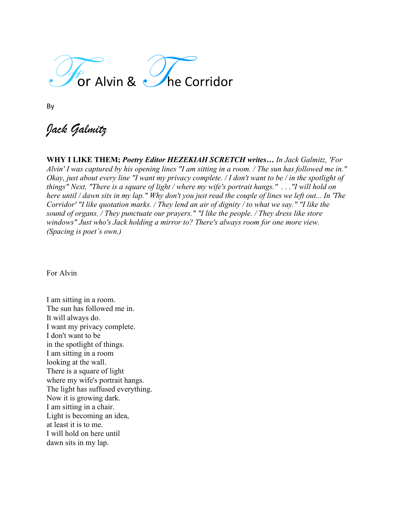

By

*Jack Galmitz*

**WHY I LIKE THEM;** *Poetry Editor HEZEKIAH SCRETCH writes… In Jack Galmitz, 'For Alvin' I was captured by his opening lines "I am sitting in a room. / The sun has followed me in." Okay, just about every line "I want my privacy complete. / I don't want to be / in the spotlight of things" Next, "There is a square of light / where my wife's portrait hangs." . . ."I will hold on here until / dawn sits in my lap." Why don't you just read the couple of lines we left out... In 'The Corridor' "I like quotation marks. / They lend an air of dignity / to what we say." "I like the sound of organs. / They punctuate our prayers." "I like the people. / They dress like store windows" Just who's Jack holding a mirror to? There's always room for one more view. (Spacing is poet's own.)*

For Alvin

I am sitting in a room. The sun has followed me in. It will always do. I want my privacy complete. I don't want to be in the spotlight of things. I am sitting in a room looking at the wall. There is a square of light where my wife's portrait hangs. The light has suffused everything. Now it is growing dark. I am sitting in a chair. Light is becoming an idea, at least it is to me. I will hold on here until dawn sits in my lap.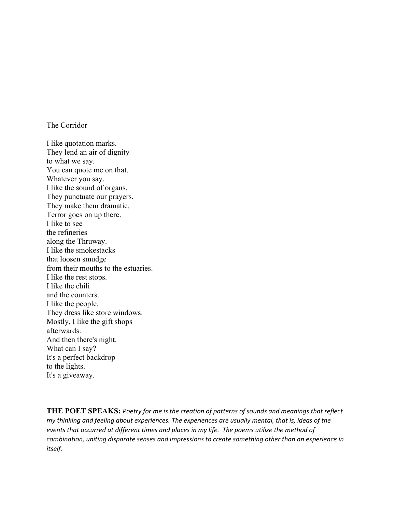## The Corridor

I like quotation marks. They lend an air of dignity to what we say. You can quote me on that. Whatever you say. I like the sound of organs. They punctuate our prayers. They make them dramatic. Terror goes on up there. I like to see the refineries along the Thruway. I like the smokestacks that loosen smudge from their mouths to the estuaries. I like the rest stops. I like the chili and the counters. I like the people. They dress like store windows. Mostly, I like the gift shops afterwards. And then there's night. What can I say? It's a perfect backdrop to the lights. It's a giveaway.

**THE POET SPEAKS:** *Poetry for me is the creation of patterns of sounds and meanings that reflect my thinking and feeling about experiences. The experiences are usually mental, that is, ideas of the events that occurred at different times and places in my life. The poems utilize the method of combination, uniting disparate senses and impressions to create something other than an experience in itself.*